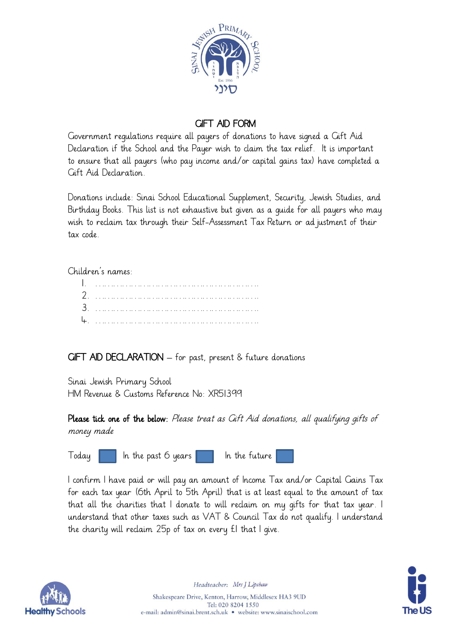

## GIFT AID FORM

Government regulations require all payers of donations to have signed a Gift Aid Declaration if the School and the Payer wish to claim the tax relief. It is important to ensure that all payers (who pay income and/or capital gains tax) have completed a Gift Aid Declaration.

Donations include: Sinai School Educational Supplement, Security, Jewish Studies, and Birthday Books. This list is not exhaustive but given as a guide for all payers who may wish to reclaim tax through their Self-Assessment Tax Return or ad justment of their tax code.

Children's names:

GIFT AID DECLARATION – for past, present & future donations

Sinai Jewish Primary School HM Revenue & Customs Reference No: XR51399

Please tick one of the below: Please treat as Gift Aid donations, all qualifying gifts of money made

 $\begin{array}{|c|c|c|c|c|}\n\hline\n\text{Today} & \text{In the past 6 years} & \text{In the future}\n\end{array}$ 

I confirm I have paid or will pay an amount of Income Tax and/or Capital Gains Tax for each tax year (6th April to 5th April) that is at least equal to the amount of tax that all the charities that I donate to will reclaim on my gifts for that tax year. I understand that other taxes such as VAT & Council Tax do not qualify. I understand the charity will reclaim 25p of tax on every £1 that I give.



**The US** 

Headteacher: Mrs J Lipshaw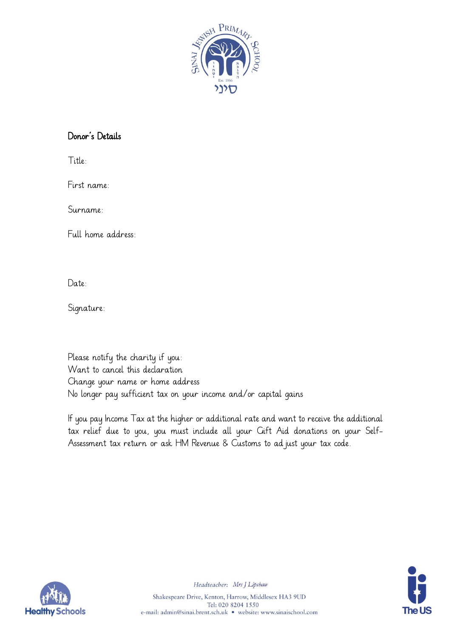

## Donor's Details

Title:

First name:

Surname:

Full home address:

Date:

Signature:

Please notify the charity if you: Want to cancel this declaration Change your name or home address No longer pay sufficient tax on your income and/or capital gains

If you pay Income Tax at the higher or additional rate and want to receive the additional tax relief due to you, you must include all your Gift Aid donations on your Self-Assessment tax return or ask HM Revenue & Customs to adjust your tax code.





Headteacher: Mrs J Lipshaw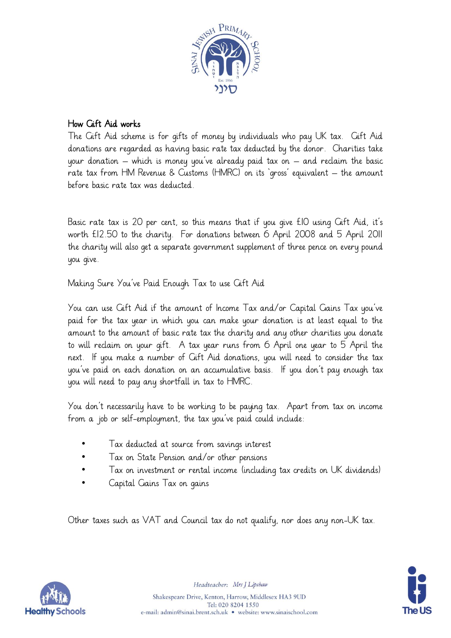

## How Gift Aid works

The Gift Aid scheme is for gifts of money by individuals who pay UK tax. Gift Aid donations are regarded as having basic rate tax deducted by the donor. Charities take your donation – which is money you've already paid tax on – and reclaim the basic rate tax from HM Revenue & Customs (HMRC) on its 'gross' equivalent – the amount before basic rate tax was deducted.

Basic rate tax is 20 per cent, so this means that if you give £10 using Gift Aid, it's worth £12.50 to the charity. For donations between 6 April 2008 and 5 April 2011 the charity will also get a separate government supplement of three pence on every pound you give.

Making Sure You've Paid Enough Tax to use Gift Aid

You can use Gift Aid if the amount of Income Tax and/or Capital Gains Tax you've paid for the tax year in which you can make your donation is at least equal to the amount to the amount of basic rate tax the charity and any other charities you donate to will reclaim on your gift. A tax year runs from 6 April one year to 5 April the next. If you make a number of Gift Aid donations, you will need to consider the tax you've paid on each donation on an accumulative basis. If you don't pay enough tax you will need to pay any shortfall in tax to HMRC.

You don't necessarily have to be working to be paying tax. Apart from tax on income from a job or self-employment, the tax you've paid could include:

- Tax deducted at source from savings interest
- Tax on State Pension and/or other pensions
- Tax on investment or rental income (including tax credits on UK dividends)
- Capital Gains Tax on gains

Other taxes such as VAT and Council tax do not qualify, nor does any non-UK tax.





Headteacher: Mrs J Lipshaw